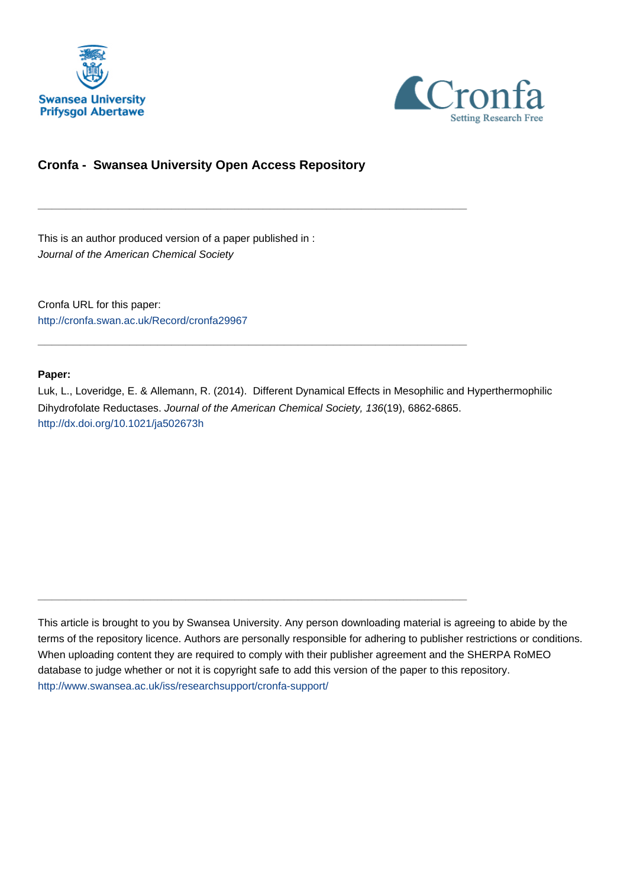



# **Cronfa - Swansea University Open Access Repository**

\_\_\_\_\_\_\_\_\_\_\_\_\_\_\_\_\_\_\_\_\_\_\_\_\_\_\_\_\_\_\_\_\_\_\_\_\_\_\_\_\_\_\_\_\_\_\_\_\_\_\_\_\_\_\_\_\_\_\_\_\_

\_\_\_\_\_\_\_\_\_\_\_\_\_\_\_\_\_\_\_\_\_\_\_\_\_\_\_\_\_\_\_\_\_\_\_\_\_\_\_\_\_\_\_\_\_\_\_\_\_\_\_\_\_\_\_\_\_\_\_\_\_

 $\_$  , and the set of the set of the set of the set of the set of the set of the set of the set of the set of the set of the set of the set of the set of the set of the set of the set of the set of the set of the set of th

This is an author produced version of a paper published in : Journal of the American Chemical Society

Cronfa URL for this paper: <http://cronfa.swan.ac.uk/Record/cronfa29967>

# **Paper:**

Luk, L., Loveridge, E. & Allemann, R. (2014). Different Dynamical Effects in Mesophilic and Hyperthermophilic Dihydrofolate Reductases. Journal of the American Chemical Society, 136(19), 6862-6865. <http://dx.doi.org/10.1021/ja502673h>

This article is brought to you by Swansea University. Any person downloading material is agreeing to abide by the terms of the repository licence. Authors are personally responsible for adhering to publisher restrictions or conditions. When uploading content they are required to comply with their publisher agreement and the SHERPA RoMEO database to judge whether or not it is copyright safe to add this version of the paper to this repository. [http://www.swansea.ac.uk/iss/researchsupport/cronfa-support/](http://www.swansea.ac.uk/iss/researchsupport/cronfa-support/ )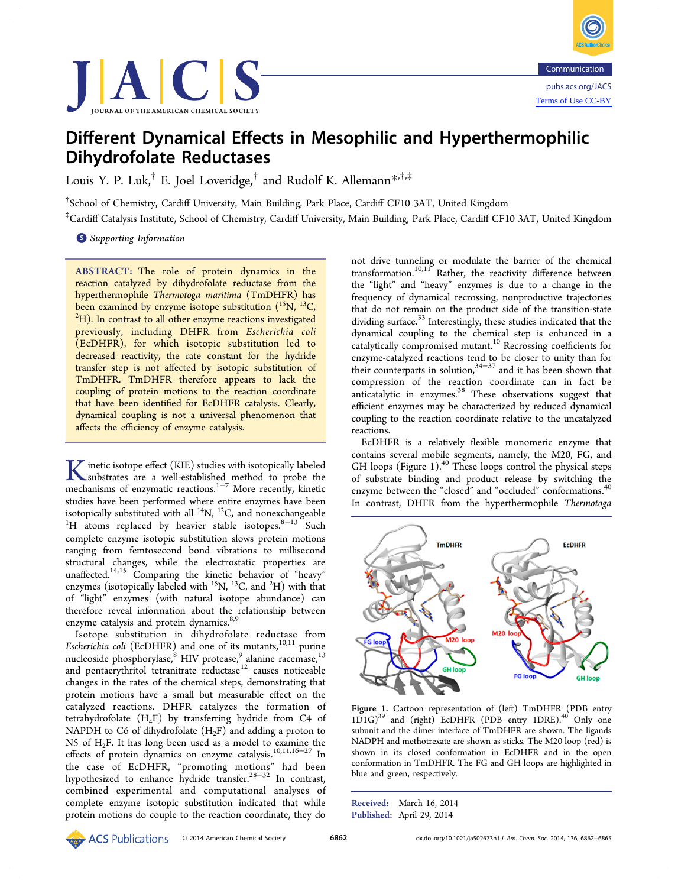



# Different Dynamical Effects in Mesophilic and Hyperthermophilic Dihydrofolate Reductases

Louis Y. P. Luk,<sup>†</sup> E. Joel Loveridge,<sup>†</sup> and Rudolf K. Allemann\*,<sup>†,‡</sup>

† School of Chemistry, Cardiff University, Main Building, Park Place, Cardiff CF10 3AT, United Kingdom

‡ Cardiff Catalysis Institute, School of Chemistry, Cardiff University, Main Building, Park Place, Cardiff CF10 3AT, United Kingdom

**S** Supporting Information

ABSTRACT: The role of protein dynamics in the reaction catalyzed by dihydrofolate reductase from the hyperthermophile Thermotoga maritima (TmDHFR) has been examined by enzyme isotope substitution  $(^{15}N, ^{13}C, ^{22}N)$  ${}^{2}$ H). In contrast to all other enzyme reactions investigated previously, including DHFR from Escherichia coli (EcDHFR), for which isotopic substitution led to decreased reactivity, the rate constant for the hydride transfer step is not affected by isotopic substitution of TmDHFR. TmDHFR therefore appears to lack the coupling of protein motions to the reaction coordinate that have been identified for EcDHFR catalysis. Clearly, dynamical coupling is not a universal phenomenon that affects the efficiency of enzyme catalysis.

**K**inetic isotope effect (KIE) studies with isotopically labeled<br>substrates are a well-established method to probe the<br>machanisms of optimatic reactions<sup>1-7</sup> More recently linetic mechanisms of enzymatic reactions.1−<sup>7</sup> More recently, kinetic studies have been performed where entire enzymes have been isotopically substituted with all  $^{14}N$ ,  $^{12}C$ , and nonexchangeable <sup>1</sup>H atoms replaced by heavier stable isotopes.<sup>8-13</sup> Such complete enzyme isotopic substitution slows protein motions ranging from femtosecond bond vibrations to millisecond structural changes, while the electrostatic properties are unaffected.<sup>14,15</sup> Comparing the kinetic behavior of "heavy" enzymes (isotopically labeled with  $^{15}$ N,  $^{13}$ C, and  $^{2}$ H) with that of "light" enzymes (with natural isotope abundance) can therefore reveal information about the relationship between enzyme catalysis and protein dynamics.<sup>8,9</sup>

Isotope substitution in dihydrofolate reductase from Escherichia coli (EcDHFR) and one of its mutants,<sup>10,11</sup> purine nucleoside phosphorylase,<sup>8</sup> HIV protease,<sup>9</sup> alanine racemase,<sup>13</sup> and pentaerythritol tetranitrate reductase<sup>12</sup> causes noticeable changes in the rates of the chemical steps, demonstrating that protein motions have a small but measurable effect on the catalyzed reactions. DHFR catalyzes the formation of tetrahydrofolate  $(H_4F)$  by transferring hydride from C4 of NAPDH to C6 of dihydrofolate  $(H<sub>2</sub>F)$  and adding a proton to N5 of H2F. It has long been used as a model to examine the effects of protein dynamics on enzyme catalysis.10,11,16−<sup>27</sup> In the case of EcDHFR, "promoting motions" had been hypothesized to enhance hydride transfer.28−<sup>32</sup> In contrast, combined experimental and computational analyses of complete enzyme isotopic substitution indicated that while protein motions do couple to the reaction coordinate, they do

not drive tunneling or modulate the barrier of the chemical transformation.<sup>10,11</sup> Rather, the reactivity difference between the "light" and "heavy" enzymes is due to a change in the frequency of dynamical recrossing, nonproductive trajectories that do not remain on the product side of the transition-state dividing surface.<sup>33</sup> Interestingly, these studies indicated that the dynamical coupling to the chemical step is enhanced in a catalytically compromised mutant.<sup>10</sup> Recrossing coefficients for enzyme-catalyzed reactions tend to be closer to unity than for their counterparts in solution,  $34-37$  and it has been shown that compression of the reaction coordinate can in fact be anticatalytic in enzymes.<sup>38</sup> These observations suggest that efficient enzymes may be characterized by reduced dynamical coupling to the reaction coordinate relative to the uncatalyzed reactions.

EcDHFR is a relatively flexible monomeric enzyme that contains several mobile segments, namely, the M20, FG, and GH loops (Figure 1). $40$  These loops control the physical steps of substrate binding and product release by switching the enzyme between the "closed" and "occluded" conformations.<sup>40</sup> In contrast, DHFR from the hyperthermophile Thermotoga



Figure 1. Cartoon representation of (left) TmDHFR (PDB entry 1D1G)<sup>39</sup> and (right) EcDHFR (PDB entry 1DRE).<sup>40</sup> Only one subunit and the dimer interface of TmDHFR are shown. The ligands NADPH and methotrexate are shown as sticks. The M20 loop (red) is shown in its closed conformation in EcDHFR and in the open conformation in TmDHFR. The FG and GH loops are highlighted in blue and green, respectively.

Received: March 16, 2014 Published: April 29, 2014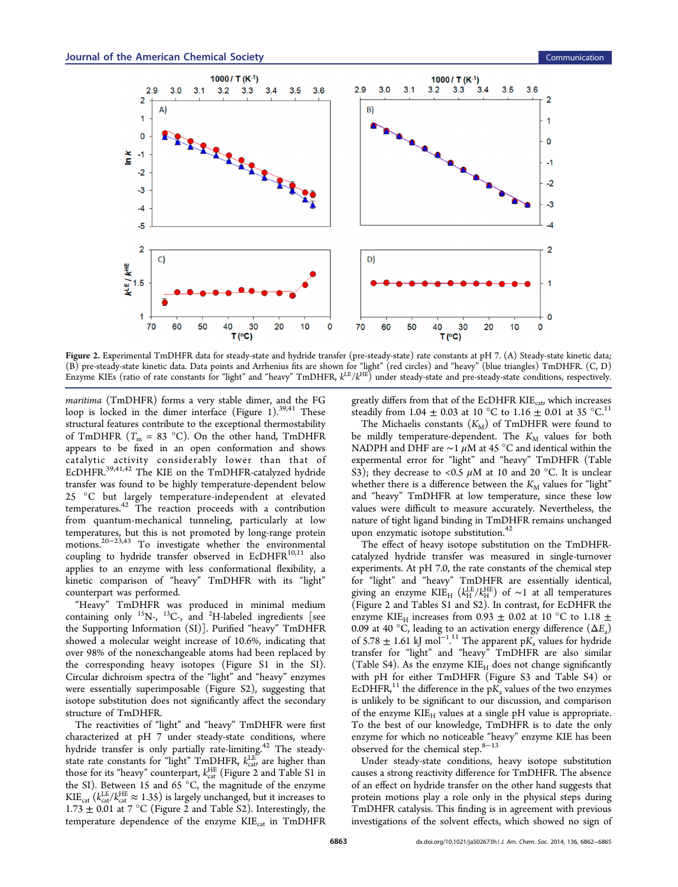

Figure 2. Experimental TmDHFR data for steady-state and hydride transfer (pre-steady-state) rate constants at pH 7. (A) Steady-state kinetic data; (B) pre-steady-state kinetic data. Data points and Arrhenius fits are shown for "light" (red circles) and "heavy" (blue triangles) TmDHFR. (C, D) Enzyme KIEs (ratio of rate constants for "light" and "heavy" TmDHFR,  $k^{\text{LE}}/k^{\text{HE}}$ ) under steady-state and pre-steady-state conditions, respectively.

maritima (TmDHFR) forms a very stable dimer, and the FG loop is locked in the dimer interface (Figure 1).<sup>39,41</sup> These structural features contribute to the exceptional thermostability of TmDHFR  $(T_m = 83 \text{ °C})$ . On the other hand, TmDHFR appears to be fixed in an open conformation and shows catalytic activity considerably lower than that of EcDHFR.39,41,42 The KIE on the TmDHFR-catalyzed hydride transfer was found to be highly temperature-dependent below 25 °C but largely temperature-independent at elevated  $temperatures.<sup>42</sup>$  The reaction proceeds with a contribution from quantum-mechanical tunneling, particularly at low temperatures, but this is not promoted by long-range protein motions.20−23,43 To investigate whether the environmental coupling to hydride transfer observed in  $ECDHFR^{10,11}$  also applies to an enzyme with less conformational flexibility, a kinetic comparison of "heavy" TmDHFR with its "light" counterpart was performed.

"Heavy" TmDHFR was produced in minimal medium containing only  $^{15}$ N-,  $^{13}$ C-, and  $^{2}$ H-labeled ingredients [see the Supporting Information (SI)]. Purified "heavy" TmDHFR showed a molecular weight increase of 10.6%, indicating that over 98% of the nonexchangeable atoms had been replaced by the corresponding heavy isotopes (Figure S1 in the SI). Circular dichroism spectra of the "light" and "heavy" enzymes were essentially superimposable (Figure S2), suggesting that isotope substitution does not significantly affect the secondary structure of TmDHFR.

The reactivities of "light" and "heavy" TmDHFR were first characterized at pH 7 under steady-state conditions, where hydride transfer is only partially rate-limiting.<sup>42</sup> The steadystate rate constants for "light"  $TmDHFR$ ,  $k_{\text{cat}}^{\text{LE}}$  are higher than those for its "heavy" counterpart,  $k_{\mathrm{cat}}^{\mathrm{HE}}$  (Figure 2 and Table S1 in the SI). Between 15 and 65 $^{\circ}$ C, the magnitude of the enzyme  $\text{KIE}_{\text{cat}}$  ( $k_{\text{cat}}^{\text{LE}}/k_{\text{cat}}^{\text{HE}} \approx 1.35$ ) is largely unchanged, but it increases to 1.73  $\pm$  0.01 at 7 °C (Figure 2 and Table S2). Interestingly, the temperature dependence of the enzyme  $KIE_{cat}$  in  $TmDHFR$ 

greatly differs from that of the EcDHFR  $KIE<sub>cat</sub>$ , which increases steadily from 1.04  $\pm$  0.03 at 10 °C to 1.16  $\pm$  0.01 at 35 °C.<sup>11</sup>

The Michaelis constants  $(K_M)$  of TmDHFR were found to be mildly temperature-dependent. The  $K_M$  values for both NADPH and DHF are  $\sim$ 1 µM at 45 °C and identical within the expermental error for "light" and "heavy" TmDHFR (Table S3); they decrease to <0.5  $\mu$ M at 10 and 20 °C. It is unclear whether there is a difference between the  $K_M$  values for "light" and "heavy" TmDHFR at low temperature, since these low values were difficult to measure accurately. Nevertheless, the nature of tight ligand binding in TmDHFR remains unchanged upon enzymatic isotope substitution.<sup>42</sup>

The effect of heavy isotope substitution on the TmDHFRcatalyzed hydride transfer was measured in single-turnover experiments. At pH 7.0, the rate constants of the chemical step for "light" and "heavy" TmDHFR are essentially identical, giving an enzyme  $KIE_H$  ( $k_H^{LE}/k_H^{HE}$ ) of ~1 at all temperatures (Figure 2 and Tables S1 and S2). In contrast, for EcDHFR the enzyme KIE<sub>H</sub> increases from 0.93  $\pm$  0.02 at 10 °C to 1.18  $\pm$ 0.09 at 40 °C, leading to an activation energy difference  $(\Delta E_a)$ of 5.78  $\pm$  1.61 kJ mol<sup>-1.11</sup> The apparent p $K_a$  values for hydride . transfer for "light" and "heavy" TmDHFR are also similar (Table S4). As the enzyme  $KIE_H$  does not change significantly with pH for either TmDHFR (Figure S3 and Table S4) or EcDHFR,<sup>11</sup> the difference in the  $pK_a$  values of the two enzymes is unlikely to be significant to our discussion, and comparison of the enzyme  $KIE_H$  values at a single pH value is appropriate. To the best of our knowledge, TmDHFR is to date the only enzyme for which no noticeable "heavy" enzyme KIE has been observed for the chemical step. $8-13$ 

Under steady-state conditions, heavy isotope substitution causes a strong reactivity difference for TmDHFR. The absence of an effect on hydride transfer on the other hand suggests that protein motions play a role only in the physical steps during TmDHFR catalysis. This finding is in agreement with previous investigations of the solvent effects, which showed no sign of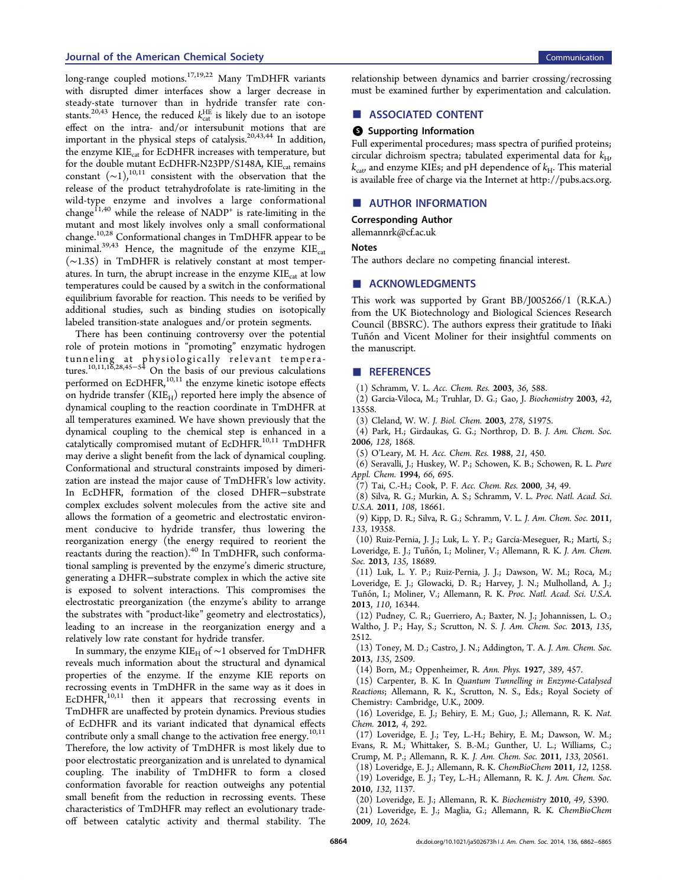### Journal of the American Chemical Society Communication Communication Communication

long-range coupled motions.<sup>17,19,22</sup> Many TmDHFR variants with disrupted dimer interfaces show a larger decrease in steady-state turnover than in hydride transfer rate constants.<sup>20,43</sup> Hence, the reduced  $k_{\text{cat}}^{\text{HE}}$  is likely due to an isotope effect on the intra- and/or intersubunit motions that are important in the physical steps of catalysis.20,43,44 In addition, the enzyme  $KIE_{cat}$  for EcDHFR increases with temperature, but for the double mutant EcDHFR-N23PP/S148A, KIE<sub>cat</sub> remains constant  $({\sim}1)$ ,<sup>10,11</sup> consistent with the observation that the release of the product tetrahydrofolate is rate-limiting in the wild-type enzyme and involves a large conformational change<sup>11,40</sup> while the release of NADP<sup>+</sup> is rate-limiting in the mutant and most likely involves only a small conformational change.<sup>10,28</sup> Conformational changes in TmDHFR appear to be minimal. $39,43$  Hence, the magnitude of the enzyme KIE<sub>cat</sub> (∼1.35) in TmDHFR is relatively constant at most temperatures. In turn, the abrupt increase in the enzyme  $KIE_{\text{cat}}$  at low temperatures could be caused by a switch in the conformational equilibrium favorable for reaction. This needs to be verified by additional studies, such as binding studies on isotopically labeled transition-state analogues and/or protein segments.

There has been continuing controversy over the potential role of protein motions in "promoting" enzymatic hydrogen tunneling at physiologically relevant temperatures.10,11,16,28,45−<sup>54</sup> On the basis of our previous calculations performed on EcDHFR,<sup>10,11</sup> the enzyme kinetic isotope effects on hydride transfer  $(KIE_H)$  reported here imply the absence of dynamical coupling to the reaction coordinate in TmDHFR at all temperatures examined. We have shown previously that the dynamical coupling to the chemical step is enhanced in a catalytically compromised mutant of EcDHFR.<sup>10,11</sup> TmDHFR may derive a slight benefit from the lack of dynamical coupling. Conformational and structural constraints imposed by dimerization are instead the major cause of TmDHFR's low activity. In EcDHFR, formation of the closed DHFR−substrate complex excludes solvent molecules from the active site and allows the formation of a geometric and electrostatic environment conducive to hydride transfer, thus lowering the reorganization energy (the energy required to reorient the reactants during the reaction).<sup>40</sup> In TmDHFR, such conformational sampling is prevented by the enzyme's dimeric structure, generating a DHFR−substrate complex in which the active site is exposed to solvent interactions. This compromises the electrostatic preorganization (the enzyme's ability to arrange the substrates with "product-like" geometry and electrostatics), leading to an increase in the reorganization energy and a relatively low rate constant for hydride transfer.

In summary, the enzyme KIE<sub>H</sub> of ~1 observed for TmDHFR reveals much information about the structural and dynamical properties of the enzyme. If the enzyme KIE reports on recrossing events in TmDHFR in the same way as it does in  $ECDHFR$ ,<sup>10,11</sup> then it appears that recrossing events in TmDHFR are unaffected by protein dynamics. Previous studies of EcDHFR and its variant indicated that dynamical effects contribute only a small change to the activation free energy.<sup>10,11</sup> Therefore, the low activity of TmDHFR is most likely due to poor electrostatic preorganization and is unrelated to dynamical coupling. The inability of TmDHFR to form a closed conformation favorable for reaction outweighs any potential small benefit from the reduction in recrossing events. These characteristics of TmDHFR may reflect an evolutionary tradeoff between catalytic activity and thermal stability. The

relationship between dynamics and barrier crossing/recrossing must be examined further by experimentation and calculation.

#### ■ ASSOCIATED CONTENT

#### **6** Supporting Information

Full experimental procedures; mass spectra of purified proteins; circular dichroism spectra; tabulated experimental data for  $k_{\text{H}}$ ,  $k_{\text{cat}}$  and enzyme KIEs; and pH dependence of  $k_{\text{H}}$ . This material is available free of charge via the Internet at http://pubs.acs.org.

#### ■ AUTHOR INFORMATION

Corresponding Author

allemannrk@cf.ac.uk

#### Notes

The authors declare no competing financial interest.

## ■ ACKNOWLEDGMENTS

This work was supported by Grant BB/J005266/1 (R.K.A.) from the UK Biotechnology and Biological Sciences Research Council (BBSRC). The authors express their gratitude to Iñaki Tuñón and Vicent Moliner for their insightful comments on the manuscript.

#### ■ REFERENCES

- (1) Schramm, V. L. Acc. Chem. Res. 2003, 36, 588.
- (2) Garcia-Viloca, M.; Truhlar, D. G.; Gao, J. Biochemistry 2003, 42, 13558.
- (3) Cleland, W. W. J. Biol. Chem. 2003, 278, 51975.

(4) Park, H.; Girdaukas, G. G.; Northrop, D. B. J. Am. Chem. Soc. 2006, 128, 1868.

(5) O'Leary, M. H. Acc. Chem. Res. 1988, 21, 450.

(6) Seravalli, J.; Huskey, W. P.; Schowen, K. B.; Schowen, R. L. Pure Appl. Chem. 1994, 66, 695.

(7) Tai, C.-H.; Cook, P. F. Acc. Chem. Res. 2000, 34, 49.

(8) Silva, R. G.; Murkin, A. S.; Schramm, V. L. Proc. Natl. Acad. Sci. U.S.A. 2011, 108, 18661.

(9) Kipp, D. R.; Silva, R. G.; Schramm, V. L. J. Am. Chem. Soc. 2011, 133, 19358.

(10) Ruiz-Pernia, J. J.; Luk, L. Y. P.; García-Meseguer, R.; Martí, S.; Loveridge, E. J.; Tuñón, I.; Moliner, V.; Allemann, R. K. *J. Am. Chem.* Soc. 2013, 135, 18689.

(11) Luk, L. Y. P.; Ruiz-Pernia, J. J.; Dawson, W. M.; Roca, M.; Loveridge, E. J.; Glowacki, D. R.; Harvey, J. N.; Mulholland, A. J.; Tuñón, I.; Moliner, V.; Allemann, R. K. *Proc. Natl. Acad. Sci. U.S.A.* 2013, 110, 16344.

(12) Pudney, C. R.; Guerriero, A.; Baxter, N. J.; Johannissen, L. O.; Waltho, J. P.; Hay, S.; Scrutton, N. S. J. Am. Chem. Soc. 2013, 135, 2512.

(13) Toney, M. D.; Castro, J. N.; Addington, T. A. J. Am. Chem. Soc. 2013, 135, 2509.

(14) Born, M.; Oppenheimer, R. Ann. Phys. 1927, 389, 457.

(15) Carpenter, B. K. In Quantum Tunnelling in Enzyme-Catalysed Reactions; Allemann, R. K., Scrutton, N. S., Eds.; Royal Society of Chemistry: Cambridge, U.K., 2009.

(16) Loveridge, E. J.; Behiry, E. M.; Guo, J.; Allemann, R. K. Nat. Chem. 2012, 4, 292.

(17) Loveridge, E. J.; Tey, L.-H.; Behiry, E. M.; Dawson, W. M.; Evans, R. M.; Whittaker, S. B.-M.; Gunther, U. L.; Williams, C.; Crump, M. P.; Allemann, R. K. J. Am. Chem. Soc. 2011, 133, 20561. (18) Loveridge, E. J.; Allemann, R. K. ChemBioChem 2011, 12, 1258.

(19) Loveridge, E. J.; Tey, L.-H.; Allemann, R. K. J. Am. Chem. Soc. 2010, 132, 1137.

(20) Loveridge, E. J.; Allemann, R. K. Biochemistry 2010, 49, 5390.

(21) Loveridge, E. J.; Maglia, G.; Allemann, R. K. ChemBioChem 2009, 10, 2624.